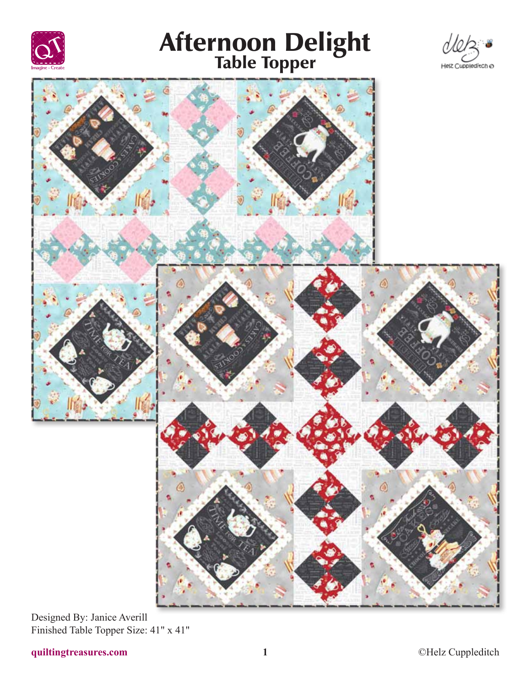





Designed By: Janice Averill Finished Table Topper Size: 41" x 41"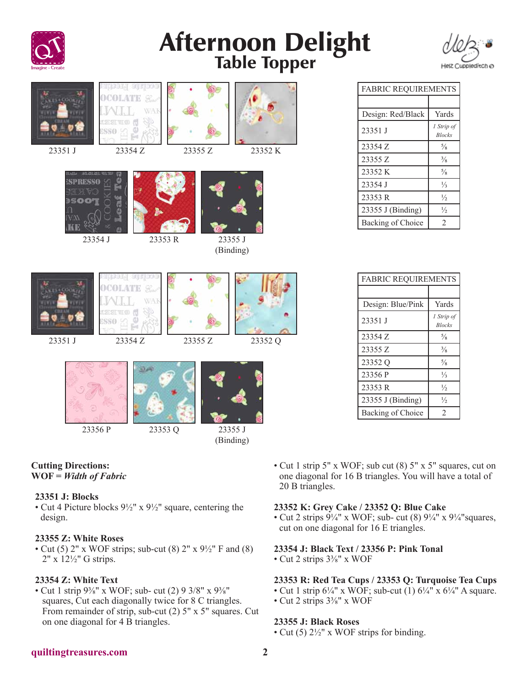



| <b><i>LES &amp; COOK</i></b><br>23351 J | ACER<br>Cast<br>VAK<br>23354 Z | 23355 Z | 23352 K              |  |
|-----------------------------------------|--------------------------------|---------|----------------------|--|
|                                         | 23353 R<br>23354 J             |         | 23355 J<br>(Binding) |  |
| <b>SACOOKI</b><br>23351 J               | X.<br>VAK<br>23354 Z           | 23355 Z | 23352 Q              |  |
|                                         |                                |         |                      |  |

23356 P 23353 Q 23355 J



### **Cutting Directions: WOF =** *Width of Fabric*

### **23351 J: Blocks**

• Cut 4 Picture blocks 9½" x 9½" square, centering the design.

### **23355 Z: White Roses**

• Cut (5) 2" x WOF strips; sub-cut (8) 2" x  $9\frac{1}{2}$ " F and (8) 2" x 12½" G strips.

## **23354 Z: White Text**

• Cut 1 strip  $9\frac{3}{8}$ " x WOF; sub- cut (2) 9 3/8" x  $9\frac{3}{8}$ " squares, Cut each diagonally twice for 8 C triangles. From remainder of strip, sub-cut (2) 5" x 5" squares. Cut on one diagonal for 4 B triangles.

| <b>FABRIC REQUIREMENTS</b> |                             |  |  |
|----------------------------|-----------------------------|--|--|
|                            |                             |  |  |
| Design: Red/Black          | Yards                       |  |  |
| 23351 J                    | 1 Strip of<br><b>Blocks</b> |  |  |
| 23354 Z                    | $\frac{5}{8}$               |  |  |
| 23355 Z                    | $\frac{3}{8}$               |  |  |
| 23352 K                    | $\frac{5}{8}$               |  |  |
| 23354 J                    | $\frac{1}{3}$               |  |  |
| 23353 R                    | $\frac{1}{2}$               |  |  |
| 23355 J (Binding)          | $\frac{1}{2}$               |  |  |
| Backing of Choice          | $\mathfrak{D}$              |  |  |

| <b>FABRIC REQUIREMENTS</b> |                             |  |  |
|----------------------------|-----------------------------|--|--|
|                            |                             |  |  |
| Design: Blue/Pink          | Yards                       |  |  |
| 23351 J                    | 1 Strip of<br><b>Blocks</b> |  |  |
| 23354 Z                    | $\frac{5}{8}$               |  |  |
| 23355 Z                    | $\frac{3}{8}$               |  |  |
| 23352 Q                    | $\frac{5}{8}$               |  |  |
| 23356 P                    | $\frac{1}{3}$               |  |  |
| 23353 R                    | $\frac{1}{2}$               |  |  |
| 23355 J (Binding)          | $\frac{1}{2}$               |  |  |
| Backing of Choice          | $\mathfrak{D}$              |  |  |

• Cut 1 strip 5" x WOF; sub cut (8) 5" x 5" squares, cut on one diagonal for 16 B triangles. You will have a total of 20 B triangles.

### **23352 K: Grey Cake / 23352 Q: Blue Cake**

• Cut 2 strips  $9\frac{1}{4}$ " x WOF; sub- cut (8)  $9\frac{1}{4}$ " x  $9\frac{1}{4}$ " squares, cut on one diagonal for 16 E triangles.

## **23354 J: Black Text / 23356 P: Pink Tonal**

• Cut 2 strips 3⅜" x WOF

## **23353 R: Red Tea Cups / 23353 Q: Turquoise Tea Cups**

- Cut 1 strip  $6\frac{1}{4}$ " x WOF; sub-cut (1)  $6\frac{1}{4}$ " x  $6\frac{1}{4}$ " A square.
- Cut 2 strips 3⅜" x WOF

### **23355 J: Black Roses**

• Cut (5)  $2\frac{1}{2}$ " x WOF strips for binding.

### **quiltingtreasures.com 2**

(Binding)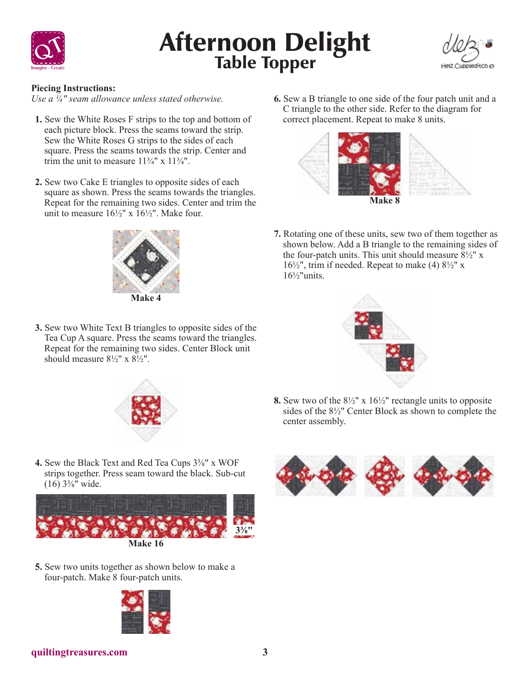



### **Piecing Instructions:**

*Use a ¼" seam allowance unless stated otherwise.*

- **1.** Sew the White Roses F strips to the top and bottom of each picture block. Press the seams toward the strip. Sew the White Roses G strips to the sides of each square. Press the seams towards the strip. Center and trim the unit to measure  $11\frac{3}{4}$ " x  $11\frac{3}{4}$ ".
- **2.** Sew two Cake E triangles to opposite sides of each square as shown. Press the seams towards the triangles. Repeat for the remaining two sides. Center and trim the unit to measure  $16\frac{1}{2}$ " x  $16\frac{1}{2}$ ". Make four.



**3.** Sew two White Text B triangles to opposite sides of the Tea Cup A square. Press the seams toward the triangles. Repeat for the remaining two sides. Center Block unit should measure  $8\frac{1}{2}$ " x  $8\frac{1}{2}$ ".

**6.** Sew a B triangle to one side of the four patch unit and a C triangle to the other side. Refer to the diagram for correct placement. Repeat to make 8 units.



**7.** Rotating one of these units, sew two of them together as shown below. Add a B triangle to the remaining sides of the four-patch units. This unit should measure  $8\frac{1}{2}$ " x  $16\frac{1}{2}$ ", trim if needed. Repeat to make (4)  $8\frac{1}{2}$ " x  $16\frac{1}{2}$ "units.



- **8.** Sew two of the 8½" x 16½" rectangle units to opposite sides of the 8½" Center Block as shown to complete the center assembly.
- **4.** Sew the Black Text and Red Tea Cups 3⅜" x WOF strips together. Press seam toward the black. Sub-cut  $(16)$  3<sup>3</sup>/<sub>8</sub><sup>"</sup> wide.



**5.** Sew two units together as shown below to make a four-patch. Make 8 four-patch units.





**quiltingtreasures.com 3**